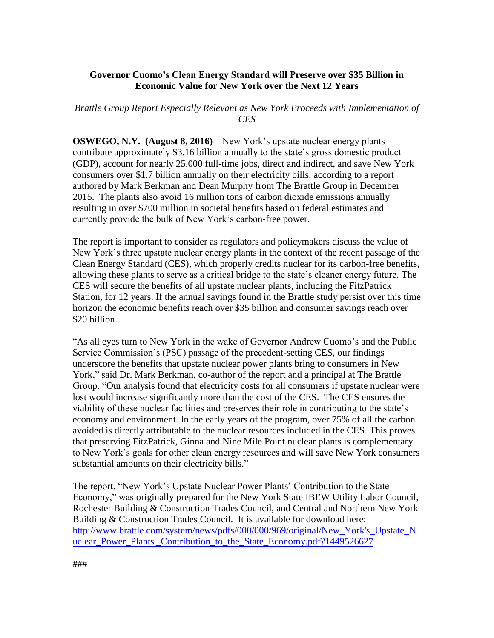## **Governor Cuomo's Clean Energy Standard will Preserve over \$35 Billion in Economic Value for New York over the Next 12 Years**

## *Brattle Group Report Especially Relevant as New York Proceeds with Implementation of CES*

**OSWEGO, N.Y.** (August 8, 2016) – New York's upstate nuclear energy plants contribute approximately \$3.16 billion annually to the state's gross domestic product (GDP), account for nearly 25,000 full-time jobs, direct and indirect, and save New York consumers over \$1.7 billion annually on their electricity bills, according to a report authored by Mark Berkman and Dean Murphy from The Brattle Group in December 2015. The plants also avoid 16 million tons of carbon dioxide emissions annually resulting in over \$700 million in societal benefits based on federal estimates and currently provide the bulk of New York's carbon-free power.

The report is important to consider as regulators and policymakers discuss the value of New York's three upstate nuclear energy plants in the context of the recent passage of the Clean Energy Standard (CES), which properly credits nuclear for its carbon-free benefits, allowing these plants to serve as a critical bridge to the state's cleaner energy future. The CES will secure the benefits of all upstate nuclear plants, including the FitzPatrick Station, for 12 years. If the annual savings found in the Brattle study persist over this time horizon the economic benefits reach over \$35 billion and consumer savings reach over \$20 billion.

"As all eyes turn to New York in the wake of Governor Andrew Cuomo's and the Public Service Commission's (PSC) passage of the precedent-setting CES, our findings underscore the benefits that upstate nuclear power plants bring to consumers in New York," said Dr. Mark Berkman, co-author of the report and a principal at The Brattle Group. "Our analysis found that electricity costs for all consumers if upstate nuclear were lost would increase significantly more than the cost of the CES. The CES ensures the viability of these nuclear facilities and preserves their role in contributing to the state's economy and environment. In the early years of the program, over 75% of all the carbon avoided is directly attributable to the nuclear resources included in the CES. This proves that preserving FitzPatrick, Ginna and Nine Mile Point nuclear plants is complementary to New York's goals for other clean energy resources and will save New York consumers substantial amounts on their electricity bills."

The report, "New York's Upstate Nuclear Power Plants' Contribution to the State Economy," was originally prepared for the New York State IBEW Utility Labor Council, Rochester Building & Construction Trades Council, and Central and Northern New York Building & Construction Trades Council. It is available for download here: [http://www.brattle.com/system/news/pdfs/000/000/969/original/New\\_York's\\_Upstate\\_N](http://www.brattle.com/system/news/pdfs/000/000/969/original/New_York) [uclear\\_Power\\_Plants'\\_Contribution\\_to\\_the\\_State\\_Economy.pdf?1449526627](http://www.brattle.com/system/news/pdfs/000/000/969/original/New_York)